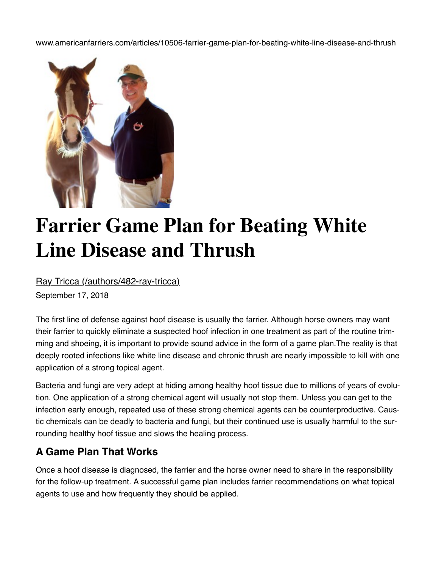www.americanfarriers.com/articles/10506-farrier-game-plan-for-beating-white-line-disease-and-thrush



## **Farrier Game Plan for Beating White Line Disease and Thrush**

[Ray Tricca \(/authors/482-ray-tricca\)](https://www.americanfarriers.com/authors/482-ray-tricca)

September 17, 2018

The first line of defense against hoof disease is usually the farrier. Although horse owners may want their farrier to quickly eliminate a suspected hoof infection in one treatment as part of the routine trim‐ ming and shoeing, it is important to provide sound advice in the form of a game plan.The reality is that deeply rooted infections like white line disease and chronic thrush are nearly impossible to kill with one application of a strong topical agent.

Bacteria and fungi are very adept at hiding among healthy hoof tissue due to millions of years of evolu‐ tion. One application of a strong chemical agent will usually not stop them. Unless you can get to the infection early enough, repeated use of these strong chemical agents can be counterproductive. Caustic chemicals can be deadly to bacteria and fungi, but their continued use is usually harmful to the sur‐ rounding healthy hoof tissue and slows the healing process.

## **A Game Plan That Works**

Once a hoof disease is diagnosed, the farrier and the horse owner need to share in the responsibility for the follow-up treatment. A successful game plan includes farrier recommendations on what topical agents to use and how frequently they should be applied.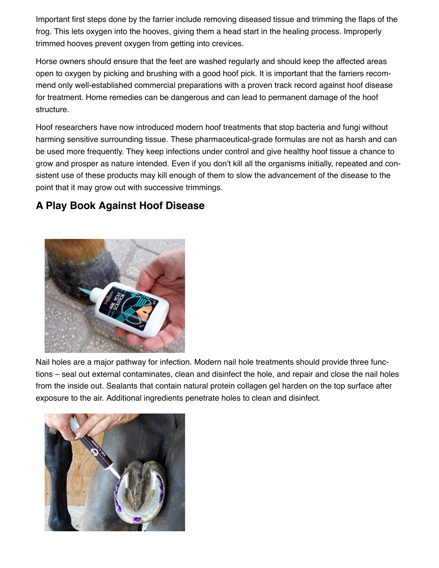Important first steps done by the farrier include removing diseased tissue and trimming the flaps of the frog. This lets oxygen into the hooves, giving them a head start in the healing process. Improperly trimmed hooves prevent oxygen from getting into crevices.

Horse owners should ensure that the feet are washed regularly and should keep the affected areas open to oxygen by picking and brushing with a good hoof pick. It is important that the farriers recom‐ mend only well-established commercial preparations with a proven track record against hoof disease for treatment. Home remedies can be dangerous and can lead to permanent damage of the hoof structure.

Hoof researchers have now introduced modern hoof treatments that stop bacteria and fungi without harming sensitive surrounding tissue. These pharmaceutical-grade formulas are not as harsh and can be used more frequently. They keep infections under control and give healthy hoof tissue a chance to grow and prosper as nature intended. Even if you don't kill all the organisms initially, repeated and con‐ sistent use of these products may kill enough of them to slow the advancement of the disease to the point that it may grow out with successive trimmings.

## **A Play Book Against Hoof Disease**



Nail holes are a major pathway for infection. Modern nail hole treatments should provide three func‐ tions – seal out external contaminates, clean and disinfect the hole, and repair and close the nail holes from the inside out. Sealants that contain natural protein collagen gel harden on the top surface after exposure to the air. Additional ingredients penetrate holes to clean and disinfect.

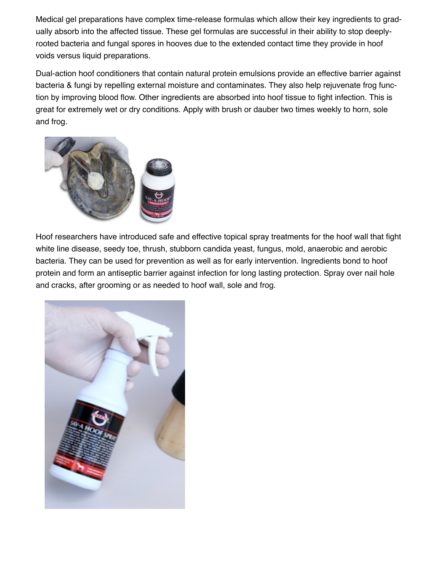Medical gel preparations have complex time-release formulas which allow their key ingredients to gradually absorb into the affected tissue. These gel formulas are successful in their ability to stop deeplyrooted bacteria and fungal spores in hooves due to the extended contact time they provide in hoof voids versus liquid preparations.

Dual-action hoof conditioners that contain natural protein emulsions provide an effective barrier against bacteria & fungi by repelling external moisture and contaminates. They also help rejuvenate frog func‐ tion by improving blood flow. Other ingredients are absorbed into hoof tissue to fight infection. This is great for extremely wet or dry conditions. Apply with brush or dauber two times weekly to horn, sole and frog.



Hoof researchers have introduced safe and effective topical spray treatments for the hoof wall that fight white line disease, seedy toe, thrush, stubborn candida yeast, fungus, mold, anaerobic and aerobic bacteria. They can be used for prevention as well as for early intervention. Ingredients bond to hoof protein and form an antiseptic barrier against infection for long lasting protection. Spray over nail hole and cracks, after grooming or as needed to hoof wall, sole and frog.

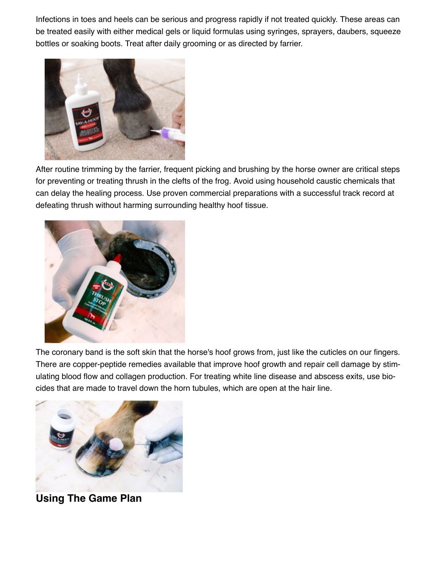Infections in toes and heels can be serious and progress rapidly if not treated quickly. These areas can be treated easily with either medical gels or liquid formulas using syringes, sprayers, daubers, squeeze bottles or soaking boots. Treat after daily grooming or as directed by farrier.



After routine trimming by the farrier, frequent picking and brushing by the horse owner are critical steps for preventing or treating thrush in the clefts of the frog. Avoid using household caustic chemicals that can delay the healing process. Use proven commercial preparations with a successful track record at defeating thrush without harming surrounding healthy hoof tissue.



The coronary band is the soft skin that the horse's hoof grows from, just like the cuticles on our fingers. There are copper-peptide remedies available that improve hoof growth and repair cell damage by stim‐ ulating blood flow and collagen production. For treating white line disease and abscess exits, use bio‐ cides that are made to travel down the horn tubules, which are open at the hair line.



**Using The Game Plan**